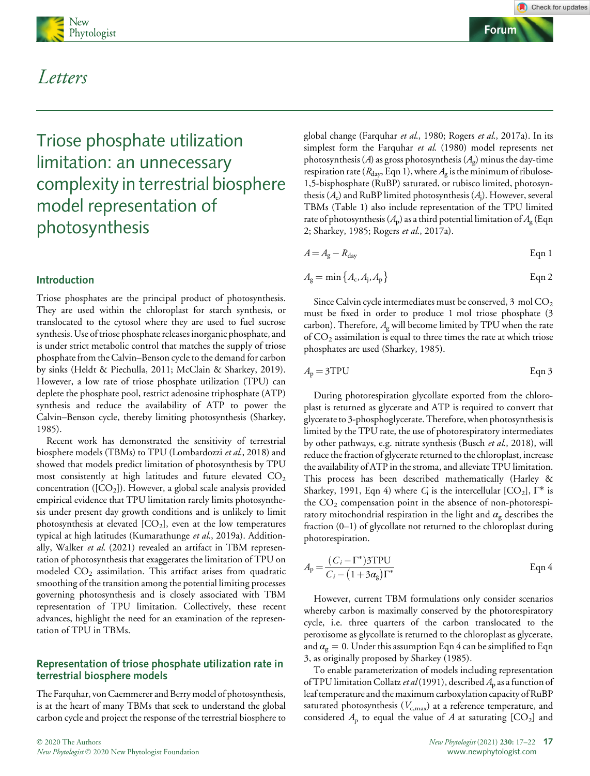

## Letters

### Forum

# Triose phosphate utilization limitation: an unnecessary complexity in terrestrial biosphere model representation of photosynthesis

#### Introduction

Triose phosphates are the principal product of photosynthesis. They are used within the chloroplast for starch synthesis, or translocated to the cytosol where they are used to fuel sucrose synthesis. Use of triose phosphate releases inorganic phosphate, and is under strict metabolic control that matches the supply of triose phosphate from the Calvin–Benson cycle to the demand for carbon by sinks (Heldt & Piechulla, 2011; McClain & Sharkey, 2019). However, a low rate of triose phosphate utilization (TPU) can deplete the phosphate pool, restrict adenosine triphosphate (ATP) synthesis and reduce the availability of ATP to power the Calvin–Benson cycle, thereby limiting photosynthesis (Sharkey, 1985).

Recent work has demonstrated the sensitivity of terrestrial biosphere models (TBMs) to TPU (Lombardozzi et al., 2018) and showed that models predict limitation of photosynthesis by TPU most consistently at high latitudes and future elevated  $CO<sub>2</sub>$ concentration ( $[CO<sub>2</sub>]$ ). However, a global scale analysis provided empirical evidence that TPU limitation rarely limits photosynthesis under present day growth conditions and is unlikely to limit photosynthesis at elevated  $[CO<sub>2</sub>]$ , even at the low temperatures typical at high latitudes (Kumarathunge et al., 2019a). Additionally, Walker et al. (2021) revealed an artifact in TBM representation of photosynthesis that exaggerates the limitation of TPU on modeled  $CO<sub>2</sub>$  assimilation. This artifact arises from quadratic smoothing of the transition among the potential limiting processes governing photosynthesis and is closely associated with TBM representation of TPU limitation. Collectively, these recent advances, highlight the need for an examination of the representation of TPU in TBMs.

#### Representation of triose phosphate utilization rate in terrestrial biosphere models

The Farquhar, von Caemmerer and Berry model of photosynthesis, is at the heart of many TBMs that seek to understand the global carbon cycle and project the response of the terrestrial biosphere to

global change (Farquhar et al., 1980; Rogers et al., 2017a). In its simplest form the Farquhar et al. (1980) model represents net photosynthesis (A) as gross photosynthesis ( $A_g$ ) minus the day-time respiration rate ( $R_{\text{day}}$ , Eqn 1), where  $A_{\text{g}}$  is the minimum of ribulose-1,5-bisphosphate (RuBP) saturated, or rubisco limited, photosynthesis  $(A_c)$  and RuBP limited photosynthesis  $(A_i)$ . However, several TBMs (Table 1) also include representation of the TPU limited rate of photosynthesis  $(A_n)$  as a third potential limitation of  $A_\nu$  (Eqn 2; Sharkey, 1985; Rogers et al., 2017a).

$$
A = Ag - Rday
$$
 Eqn 1

$$
A_{\rm g} = \min\left\{A_{\rm c}, A_{\rm j}, A_{\rm p}\right\} \tag{Eqn 2}
$$

Since Calvin cycle intermediates must be conserved,  $3 \text{ mol } CO_2$ must be fixed in order to produce 1 mol triose phosphate (3 carbon). Therefore,  $A_{g}$  will become limited by TPU when the rate of  $CO<sub>2</sub>$  assimilation is equal to three times the rate at which triose phosphates are used (Sharkey, 1985).

$$
A_{\rm p} = 3 \text{TPU} \qquad \qquad \text{Eqn 3}
$$

During photorespiration glycollate exported from the chloroplast is returned as glycerate and ATP is required to convert that glycerate to 3-phosphoglycerate. Therefore, when photosynthesis is limited by the TPU rate, the use of photorespiratory intermediates by other pathways, e.g. nitrate synthesis (Busch et al., 2018), will reduce the fraction of glycerate returned to the chloroplast, increase the availability of ATP in the stroma, and alleviate TPU limitation. This process has been described mathematically (Harley & Sharkey, 1991, Eqn 4) where  $C_i$  is the intercellular  $[CO_2]$ ,  $\Gamma^*$  is the  $CO<sub>2</sub>$  compensation point in the absence of non-photorespiratory mitochondrial respiration in the light and  $\alpha_{g}$  describes the fraction (0–1) of glycollate not returned to the chloroplast during photorespiration.

$$
A_{\rm p} = \frac{(C_i - \Gamma^*)\text{3TPU}}{C_i - (1 + 3\alpha_{\rm g})\Gamma^*}
$$
 Eqn 4

However, current TBM formulations only consider scenarios whereby carbon is maximally conserved by the photorespiratory cycle, i.e. three quarters of the carbon translocated to the peroxisome as glycollate is returned to the chloroplast as glycerate, and  $\alpha_{\rm g} = 0$ . Under this assumption Eqn 4 can be simplified to Eqn 3, as originally proposed by Sharkey (1985).

To enable parameterization of models including representation of TPU limitation Collatz *et al* (1991), described  $A<sub>p</sub>$  as a function of leaf temperature and the maximum carboxylation capacity of RuBP saturated photosynthesis ( $V_{c,\rm max}$ ) at a reference temperature, and considered  $A_p$  to equal the value of A at saturating [CO<sub>2</sub>] and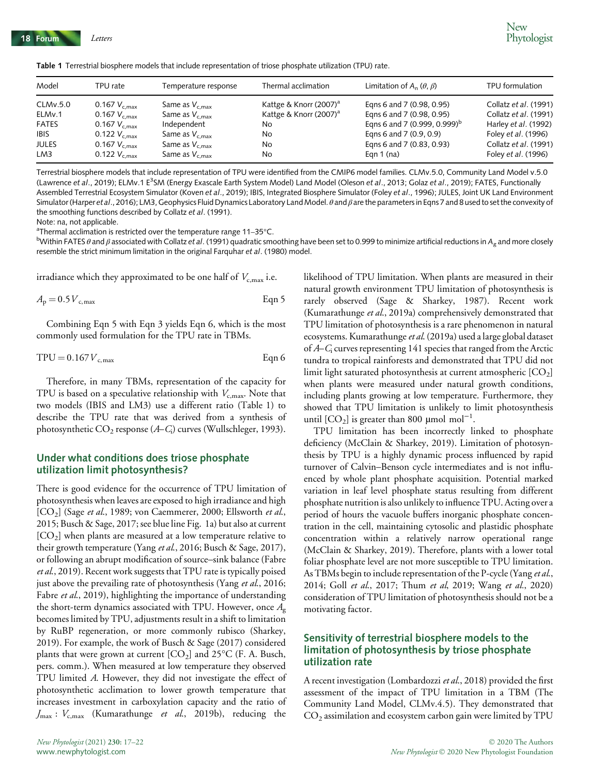Table 1 Terrestrial biosphere models that include representation of triose phosphate utilization (TPU) rate.

| Model                | TPU rate                                         | Temperature response                       | Thermal acclimation                                    | Limitation of $A_n$ ( $\theta$ , $\beta$ )             | TPU formulation                                     |
|----------------------|--------------------------------------------------|--------------------------------------------|--------------------------------------------------------|--------------------------------------------------------|-----------------------------------------------------|
| CLMv.5.0<br>ELMv.1   | 0.167 $V_{c,max}$<br>0.167 $V_{\rm c,max}$       | Same as $V_{c,max}$<br>Same as $V_{c,max}$ | Kattge & Knorr $(2007)^a$<br>Kattge & Knorr $(2007)^a$ | Egns 6 and 7 (0.98, 0.95)<br>Eqns 6 and 7 (0.98, 0.95) | Collatz et al. (1991)<br>Collatz et al. (1991)      |
| <b>FATES</b>         | 0.167 $V_{c,max}$                                | Independent                                | No                                                     | Eqns 6 and 7 (0.999, 0.999) <sup>b</sup>               | Harley <i>et al.</i> (1992)                         |
| <b>IBIS</b><br>Jules | $0.122$ $V_{\rm c,max}$<br>0.167 $V_{\rm c,max}$ | Same as $V_{c,max}$<br>Same as $V_{c,max}$ | No<br>No                                               | Eqns 6 and 7 (0.9, 0.9)<br>Eqns 6 and 7 (0.83, 0.93)   | Foley <i>et al.</i> (1996)<br>Collatz et al. (1991) |
| LM3                  | $0.122$ $V_{\rm c,max}$                          | Same as $V_{c,max}$                        | No                                                     | Eqn $1$ (na)                                           | Foley <i>et al.</i> (1996)                          |

Terrestrial biosphere models that include representation of TPU were identified from the CMIP6 model families. CLMv.5.0, Community Land Model v.5.0 (Lawrence et al., 2019); ELMv.1 E<sup>3</sup>SM (Energy Exascale Earth System Model) Land Model (Oleson et al., 2013; Golaz et al., 2019); FATES, Functionally Assembled Terrestrial Ecosystem Simulator (Koven et al., 2019); IBIS, Integrated Biosphere Simulator (Foley et al., 1996); JULES, Joint UK Land Environment Simulator (Harper et al., 2016); LM3, Geophysics Fluid Dynamics Laboratory Land Model.  $\theta$  and  $\beta$  are the parameters in Eqns 7 and 8 used to set the convexity of the smoothing functions described by Collatz et al. (1991).

Note: na, not applicable.

<sup>a</sup>Thermal acclimation is restricted over the temperature range 11–35°C.<br><sup>b</sup>Within EATES A and Bassociated with Collatz et al. (1991) quadratic sm

<sup>b</sup>Within FATES  $\theta$  and  $\beta$  associated with Collatz et al. (1991) quadratic smoothing have been set to 0.999 to minimize artificial reductions in A<sub>g</sub> and more closely resemble the strict minimum limitation in the original Farquhar et al. (1980) model.

irradiance which they approximated to be one half of  $V_{c,max}$  i.e.

$$
A_{\rm p} = 0.5 V_{\rm c,max} \tag{Eqn 5}
$$

Combining Eqn 5 with Eqn 3 yields Eqn 6, which is the most commonly used formulation for the TPU rate in TBMs.

$$
TPU = 0.167 Vc,max
$$
 Eqn 6

Therefore, in many TBMs, representation of the capacity for TPU is based on a speculative relationship with  $V_{c,\text{max}}$ . Note that two models (IBIS and LM3) use a different ratio (Table 1) to describe the TPU rate that was derived from a synthesis of photosynthetic  $CO_2$  response  $(A-C_i)$  curves (Wullschleger, 1993).

#### Under what conditions does triose phosphate utilization limit photosynthesis?

There is good evidence for the occurrence of TPU limitation of photosynthesis when leaves are exposed to high irradiance and high [CO<sub>2</sub>] (Sage et al., 1989; von Caemmerer, 2000; Ellsworth et al., 2015; Busch & Sage, 2017; see blue line Fig. 1a) but also at current  $[CO<sub>2</sub>]$  when plants are measured at a low temperature relative to their growth temperature (Yang et al., 2016; Busch & Sage, 2017), or following an abrupt modification of source–sink balance (Fabre et al., 2019). Recent work suggests that TPU rate is typically poised just above the prevailing rate of photosynthesis (Yang et al., 2016; Fabre et al., 2019), highlighting the importance of understanding the short-term dynamics associated with TPU. However, once  $A_{\rm g}$ becomes limited by TPU, adjustments result in a shift to limitation by RuBP regeneration, or more commonly rubisco (Sharkey, 2019). For example, the work of Busch & Sage (2017) considered plants that were grown at current  $[CO_2]$  and  $25^{\circ}$ C (F. A. Busch, pers. comm.). When measured at low temperature they observed TPU limited A. However, they did not investigate the effect of photosynthetic acclimation to lower growth temperature that increases investment in carboxylation capacity and the ratio of  $J_{\text{max}}$ :  $V_{\text{c,max}}$  (Kumarathunge et al., 2019b), reducing the

likelihood of TPU limitation. When plants are measured in their natural growth environment TPU limitation of photosynthesis is rarely observed (Sage & Sharkey, 1987). Recent work (Kumarathunge et al., 2019a) comprehensively demonstrated that TPU limitation of photosynthesis is a rare phenomenon in natural ecosystems. Kumarathunge et al. (2019a) used a large global dataset of  $A-C<sub>i</sub>$  curves representing 141 species that ranged from the Arctic tundra to tropical rainforests and demonstrated that TPU did not limit light saturated photosynthesis at current atmospheric  $[CO<sub>2</sub>]$ when plants were measured under natural growth conditions, including plants growing at low temperature. Furthermore, they showed that TPU limitation is unlikely to limit photosynthesis until  $[CO_2]$  is greater than 800 µmol mol<sup>-1</sup>.

TPU limitation has been incorrectly linked to phosphate deficiency (McClain & Sharkey, 2019). Limitation of photosynthesis by TPU is a highly dynamic process influenced by rapid turnover of Calvin–Benson cycle intermediates and is not influenced by whole plant phosphate acquisition. Potential marked variation in leaf level phosphate status resulting from different phosphate nutrition is also unlikely to influence TPU. Acting over a period of hours the vacuole buffers inorganic phosphate concentration in the cell, maintaining cytosolic and plastidic phosphate concentration within a relatively narrow operational range (McClain & Sharkey, 2019). Therefore, plants with a lower total foliar phosphate level are not more susceptible to TPU limitation. As TBMs begin to include representation of the P-cycle (Yang et al., 2014; Goll et al., 2017; Thum et al, 2019; Wang et al., 2020) consideration of TPU limitation of photosynthesis should not be a motivating factor.

#### Sensitivity of terrestrial biosphere models to the limitation of photosynthesis by triose phosphate utilization rate

A recent investigation (Lombardozzi et al., 2018) provided the first assessment of the impact of TPU limitation in a TBM (The Community Land Model, CLMv.4.5). They demonstrated that  $CO<sub>2</sub>$  assimilation and ecosystem carbon gain were limited by  $\text{TPU}$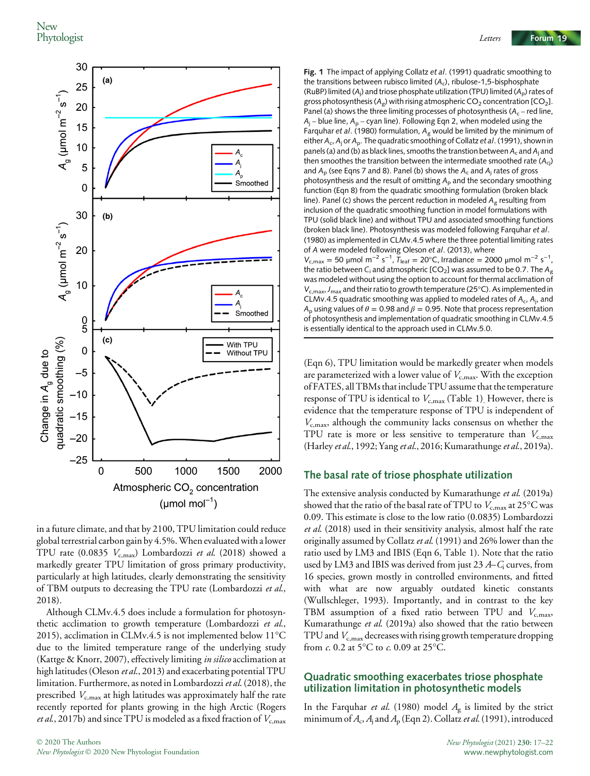

in a future climate, and that by 2100, TPU limitation could reduce global terrestrial carbon gain by 4.5%.When evaluated with a lower TPU rate (0.0835  $V_{c,\text{max}}$ ) Lombardozzi et al. (2018) showed a markedly greater TPU limitation of gross primary productivity, particularly at high latitudes, clearly demonstrating the sensitivity of TBM outputs to decreasing the TPU rate (Lombardozzi et al., 2018).

Although CLMv.4.5 does include a formulation for photosynthetic acclimation to growth temperature (Lombardozzi et al., 2015), acclimation in CLMv.4.5 is not implemented below 11°C due to the limited temperature range of the underlying study (Kattge & Knorr, 2007), effectively limiting in silico acclimation at high latitudes (Oleson et al., 2013) and exacerbating potential TPU limitation. Furthermore, as noted in Lombardozzi et al. (2018), the prescribed  $V_{\rm c,max}$  at high latitudes was approximately half the rate recently reported for plants growing in the high Arctic (Rogers *et al.*, 2017b) and since TPU is modeled as a fixed fraction of  $V_{c,\text{max}}$ 

Fig. 1 The impact of applying Collatz et al. (1991) quadratic smoothing to the transitions between rubisco limited  $(A_c)$ , ribulose-1,5-bisphosphate (RuBP) limited (A<sub>j</sub>) and triose phosphate utilization (TPU) limited (A<sub>p</sub>) rates of gross photosynthesis ( $A_g$ ) with rising atmospheric CO<sub>2</sub> concentration [CO<sub>2</sub>]. Panel (a) shows the three limiting processes of photosynthesis ( $A_c$  – red line,  $A_i$  – blue line,  $A_p$  – cyan line). Following Eqn 2, when modeled using the Farquhar et al. (1980) formulation,  $A<sub>p</sub>$  would be limited by the minimum of either  $A_c$ ,  $A_i$  or  $A_p$ . The quadratic smoothing of Collatz et al. (1991), shown in panels (a) and (b) as black lines, smooths the transtion between  $A_c$  and  $A_i$  and then smoothes the transition between the intermediate smoothed rate  $(A<sub>ci</sub>)$ and  $A<sub>D</sub>$  (see Eqns 7 and 8). Panel (b) shows the  $A<sub>c</sub>$  and  $A<sub>j</sub>$  rates of gross photosynthesis and the result of omitting  $A<sub>p</sub>$  and the secondary smoothing function (Eqn 8) from the quadratic smoothing formulation (broken black line). Panel (c) shows the percent reduction in modeled  $A<sub>F</sub>$  resulting from inclusion of the quadratic smoothing function in model formulations with TPU (solid black line) and without TPU and associated smoothing functions (broken black line). Photosynthesis was modeled following Farquhar et al. (1980) as implemented in CLMv.4.5 where the three potential limiting rates of A were modeled following Oleson et al. (2013), where  $V_{c,max}$  = 50 μmol m<sup>-2</sup> s<sup>-1</sup>, T<sub>leaf</sub> = 20°C, Irradiance = 2000 μmol m<sup>-2</sup> s<sup>-1</sup>, the ratio between C<sub>i</sub> and atmospheric [CO<sub>2</sub>] was assumed to be 0.7. The A<sub>g</sub> was modeled without using the option to account for thermal acclimation of  $V_{c,max}$ ,  $J_{max}$  and their ratio to growth temperature (25°C). As implemented in CLMv.4.5 quadratic smoothing was applied to modeled rates of  $A_c$ ,  $A_j$ , and A<sub>p</sub> using values of  $\theta = 0.98$  and  $\beta = 0.95$ . Note that process representation of photosynthesis and implementation of quadratic smoothing in CLMv.4.5 is essentially identical to the approach used in CLMv.5.0.

(Eqn 6), TPU limitation would be markedly greater when models are parameterized with a lower value of  $V_{c,\text{max}}$ . With the exception of FATES, all TBMs that include TPU assume that the temperature response of TPU is identical to  $V_{c,\text{max}}$  (Table 1). However, there is evidence that the temperature response of TPU is independent of  $V_{c,\text{max}}$ , although the community lacks consensus on whether the TPU rate is more or less sensitive to temperature than  $V_{c,\text{max}}$ (Harley et al., 1992; Yang et al., 2016; Kumarathunge et al., 2019a).

#### The basal rate of triose phosphate utilization

The extensive analysis conducted by Kumarathunge et al. (2019a) showed that the ratio of the basal rate of TPU to  $V_{c,\text{max}}$  at 25°C was 0.09. This estimate is close to the low ratio (0.0835) Lombardozzi et al. (2018) used in their sensitivity analysis, almost half the rate originally assumed by Collatz et al. (1991) and 26% lower than the ratio used by LM3 and IBIS (Eqn 6, Table 1). Note that the ratio used by LM3 and IBIS was derived from just 23  $A-C<sub>i</sub>$  curves, from 16 species, grown mostly in controlled environments, and fitted with what are now arguably outdated kinetic constants (Wullschleger, 1993). Importantly, and in contrast to the key TBM assumption of a fixed ratio between TPU and  $V_{c,max}$ , Kumarathunge et al. (2019a) also showed that the ratio between TPU and  $V_{\rm c,max}$  decreases with rising growth temperature dropping from c. 0.2 at 5°C to c. 0.09 at 25°C.

#### Quadratic smoothing exacerbates triose phosphate utilization limitation in photosynthetic models

In the Farquhar et al. (1980) model  $A_g$  is limited by the strict minimum of  $A_c$ ,  $A_i$  and  $A_p$  (Eqn 2). Collatz *et al.* (1991), introduced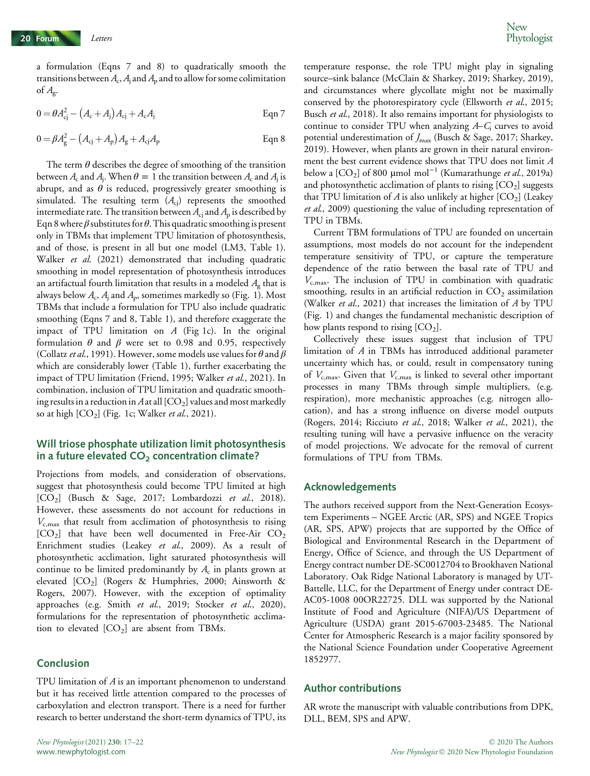a formulation (Eqns 7 and 8) to quadratically smooth the transitions between  $A_c$ ,  $A_j$  and  $A_p$  and to allow for some colimitation of  $A_{\rm g}$ .

$$
0 = \theta A_{cj}^2 - (A_c + A_j)A_{cj} + A_c A_j
$$
 Eqn 7

$$
0 = \beta A_g^2 - (A_{ci} + A_p)A_g + A_{ci}A_p
$$
 Eqn 8

The term  $\theta$  describes the degree of smoothing of the transition between  $A_c$  and  $A_i$ . When  $\theta = 1$  the transition between  $A_c$  and  $A_i$  is abrupt, and as  $\theta$  is reduced, progressively greater smoothing is simulated. The resulting term  $(A<sub>ci</sub>)$  represents the smoothed intermediate rate. The transition between  $A_{ci}$  and  $A_{p}$  is described by Eqn 8 where  $\beta$  substitutes for  $\theta$ . This quadratic smoothing is present only in TBMs that implement TPU limitation of photosynthesis, and of those, is present in all but one model (LM3, Table 1). Walker et al. (2021) demonstrated that including quadratic smoothing in model representation of photosynthesis introduces an artifactual fourth limitation that results in a modeled  $A_g$  that is always below  $A_c$ ,  $A_i$  and  $A_p$ , sometimes markedly so (Fig. 1). Most TBMs that include a formulation for TPU also include quadratic smoothing (Eqns 7 and 8, Table 1), and therefore exaggerate the impact of TPU limitation on  $A$  (Fig 1c). In the original formulation  $\theta$  and  $\beta$  were set to 0.98 and 0.95, respectively (Collatz et al., 1991). However, some models use values for  $\theta$  and  $\beta$ which are considerably lower (Table 1), further exacerbating the impact of TPU limitation (Friend, 1995; Walker et al., 2021). In combination, inclusion of TPU limitation and quadratic smoothing results in a reduction in Aat all  $[CO<sub>2</sub>]$  values and most markedly so at high  $[CO_2]$  (Fig. 1c; Walker et al., 2021).

#### Will triose phosphate utilization limit photosynthesis in a future elevated  $CO<sub>2</sub>$  concentration climate?

Projections from models, and consideration of observations, suggest that photosynthesis could become TPU limited at high  $[CO<sub>2</sub>]$  (Busch & Sage, 2017; Lombardozzi et al., 2018). However, these assessments do not account for reductions in  $V_{c,\text{max}}$  that result from acclimation of photosynthesis to rising  $[CO<sub>2</sub>]$  that have been well documented in Free-Air  $CO<sub>2</sub>$ Enrichment studies (Leakey et al., 2009). As a result of photosynthetic acclimation, light saturated photosynthesis will continue to be limited predominantly by  $A_c$  in plants grown at elevated  $[CO<sub>2</sub>]$  (Rogers & Humphries, 2000; Ainsworth & Rogers, 2007). However, with the exception of optimality approaches (e.g. Smith et al., 2019; Stocker et al., 2020), formulations for the representation of photosynthetic acclimation to elevated  $[CO<sub>2</sub>]$  are absent from TBMs.

#### Conclusion

TPU limitation of A is an important phenomenon to understand but it has received little attention compared to the processes of carboxylation and electron transport. There is a need for further research to better understand the short-term dynamics of TPU, its

temperature response, the role TPU might play in signaling source–sink balance (McClain & Sharkey, 2019; Sharkey, 2019), and circumstances where glycollate might not be maximally conserved by the photorespiratory cycle (Ellsworth et al., 2015; Busch et al., 2018). It also remains important for physiologists to continue to consider TPU when analyzing  $A-C<sub>i</sub>$  curves to avoid potential underestimation of  $J_{\text{max}}$  (Busch & Sage, 2017; Sharkey, 2019). However, when plants are grown in their natural environment the best current evidence shows that TPU does not limit A below a  $[CO_2]$  of 800 µmol mol<sup>-1</sup> (Kumarathunge *et al.*, 2019a) and photosynthetic acclimation of plants to rising  $[CO<sub>2</sub>]$  suggests that TPU limitation of  $A$  is also unlikely at higher  $[CO_2]$  (Leakey et al., 2009) questioning the value of including representation of TPU in TBMs.

Current TBM formulations of TPU are founded on uncertain assumptions, most models do not account for the independent temperature sensitivity of TPU, or capture the temperature dependence of the ratio between the basal rate of TPU and  $V_{\text{c,max}}$ . The inclusion of TPU in combination with quadratic smoothing, results in an artificial reduction in  $CO<sub>2</sub>$  assimilation (Walker *et al.*, 2021) that increases the limitation of  $A$  by TPU (Fig. 1) and changes the fundamental mechanistic description of how plants respond to rising  $[CO<sub>2</sub>]$ .

Collectively these issues suggest that inclusion of TPU limitation of A in TBMs has introduced additional parameter uncertainty which has, or could, result in compensatory tuning of  $V_{c,\text{max}}$ . Given that  $V_{c,\text{max}}$  is linked to several other important processes in many TBMs through simple multipliers, (e.g. respiration), more mechanistic approaches (e.g. nitrogen allocation), and has a strong influence on diverse model outputs (Rogers, 2014; Ricciuto et al., 2018; Walker et al., 2021), the resulting tuning will have a pervasive influence on the veracity of model projections. We advocate for the removal of current formulations of TPU from TBMs.

#### Acknowledgements

The authors received support from the Next-Generation Ecosystem Experiments – NGEE Arctic (AR, SPS) and NGEE Tropics (AR, SPS, APW) projects that are supported by the Office of Biological and Environmental Research in the Department of Energy, Office of Science, and through the US Department of Energy contract number DE-SC0012704 to Brookhaven National Laboratory. Oak Ridge National Laboratory is managed by UT-Battelle, LLC, for the Department of Energy under contract DE-AC05-1008 00OR22725. DLL was supported by the National Institute of Food and Agriculture (NIFA)/US Department of Agriculture (USDA) grant 2015-67003-23485. The National Center for Atmospheric Research is a major facility sponsored by the National Science Foundation under Cooperative Agreement 1852977.

#### Author contributions

AR wrote the manuscript with valuable contributions from DPK, DLL, BEM, SPS and APW.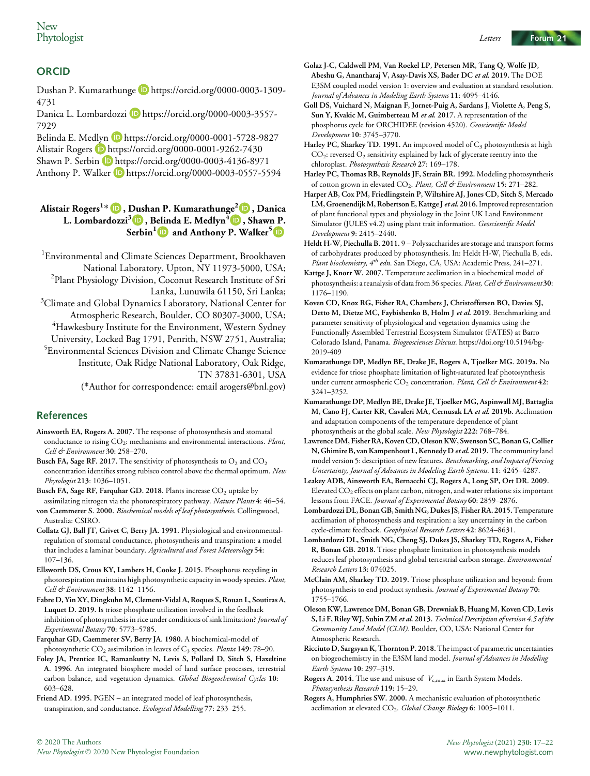#### **ORCID**

Dushan P. Kumarathunge Dhttps://orcid.org/0000-0003-1309-4731

Danica L. Lombardozzi D https://orcid.org/0000-0003-3557-7929

Belinda E. Medlyn **D** https://orcid.org/0000-0001-5728-9827 Alistair Rogers **b** https://orcid.org/0000-0001-9262-7430 Shawn P. Serbin D https://orcid.org/0000-0003-4136-8971 Anthony P. Walker D https://orcid.org/0000-0003-0557-5594

#### Alistair Rogers<sup>1</sup> \* , Dushan P. Kumarathunge<sup>2</sup> , Danica L. Lombardozzi<sup>3</sup> , Belinda E. Medlyn<sup>4</sup>  $\Box$ , Shawn P. Serbin<sup>[1](https://orcid.org/0000-0003-4136-8971)</sup> and Anthony P. Walker<sup>[5](https://orcid.org/0000-0003-0557-5594)</sup>  $\blacksquare$

1 Environmental and Climate Sciences Department, Brookhaven National Laboratory, Upton, NY 11973-5000, USA; <sup>2</sup> <sup>2</sup>Plant Physiology Division, Coconut Research Institute of Sri Lanka, Lunuwila 61150, Sri Lanka;  $^3$ Climate and Global Dynamics Laboratory, National Center for Atmospheric Research, Boulder, CO 80307-3000, USA; 4 Hawkesbury Institute for the Environment, Western Sydney University, Locked Bag 1791, Penrith, NSW 2751, Australia; <sup>5</sup> Environmental Sciences Division and Climate Change Science Institute, Oak Ridge National Laboratory, Oak Ridge, TN 37831-6301, USA (\*Author for correspondence: email arogers@bnl.gov)

#### References

Ainsworth EA, Rogers A. 2007. The response of photosynthesis and stomatal conductance to rising CO<sub>2</sub>: mechanisms and environmental interactions. Plant, Cell & Environment 30: 258-270.

Busch FA, Sage RF. 2017. The sensitivity of photosynthesis to  $O_2$  and  $CO_2$ concentration identifies strong rubisco control above the thermal optimum. New Phytologist 213: 1036–1051.

Busch FA, Sage RF, Farquhar GD. 2018. Plants increase  $CO<sub>2</sub>$  uptake by assimilating nitrogen via the photorespiratory pathway. Nature Plants 4: 46–54. von Caemmerer S. 2000. Biochemical models of leaf photosynthesis. Collingwood,

Australia: CSIRO. Collatz GJ, Ball JT, Grivet C, Berry JA. 1991. Physiological and environmental-

regulation of stomatal conductance, photosynthesis and transpiration: a model that includes a laminar boundary. Agricultural and Forest Meteorology 54: 107–136.

Ellsworth DS, Crous KY, Lambers H, Cooke J. 2015. Phosphorus recycling in photorespiration maintains high photosynthetic capacity in woody species. Plant, Cell & Environment 38: 1142-1156.

Fabre D, Yin XY, Dingkuhn M, Clement-Vidal A, Roques S, Rouan L, Soutiras A, Luquet D. 2019. Is triose phosphate utilization involved in the feedback inhibition of photosynthesis in rice under conditions of sink limitation? Journal of Experimental Botany 70: 5773–5785.

Farquhar GD, Caemmerer SV, Berry JA. 1980. A biochemical-model of photosynthetic  $CO_2$  assimilation in leaves of  $C_3$  species. Planta 149: 78–90.

Foley JA, Prentice IC, Ramankutty N, Levis S, Pollard D, Sitch S, Haxeltine A. 1996. An integrated biosphere model of land surface processes, terrestrial carbon balance, and vegetation dynamics. Global Biogeochemical Cycles 10: 603–628.

Friend AD. 1995. PGEN – an integrated model of leaf photosynthesis, transpiration, and conductance. Ecological Modelling 77: 233–255.

- Golaz J-C, Caldwell PM, Van Roekel LP, Petersen MR, Tang Q, Wolfe JD, Abeshu G, Anantharaj V, Asay-Davis XS, Bader DC et al. 2019. The DOE E3SM coupled model version 1: overview and evaluation at standard resolution. Journal of Advances in Modeling Earth Systems 11: 4095–4146.
- Goll DS, Vuichard N, Maignan F, Jornet-Puig A, Sardans J, Violette A, Peng S, Sun Y, Kvakic M, Guimberteau M et al. 2017. A representation of the phosphorus cycle for ORCHIDEE (revision 4520). Geoscientific Model Development 10: 3745–3770.

Harley PC, Sharkey TD. 1991. An improved model of  $C_3$  photosynthesis at high  $CO<sub>2</sub>$ : reversed  $O<sub>2</sub>$  sensitivity explained by lack of glycerate reentry into the chloroplast. Photosynthesis Research 27: 169–178.

Harley PC, Thomas RB, Reynolds JF, Strain BR. 1992. Modeling photosynthesis of cotton grown in elevated CO<sub>2</sub>. Plant, Cell & Environment 15: 271-282.

Harper AB, Cox PM, Friedlingstein P, Wiltshire AJ, Jones CD, Sitch S, Mercado LM, Groenendijk M, Robertson E, Kattge J et al. 2016. Improved representation of plant functional types and physiology in the Joint UK Land Environment Simulator (JULES v4.2) using plant trait information. Geoscientific Model Development 9: 2415–2440.

Heldt H-W, Piechulla B. 2011. 9 – Polysaccharides are storage and transport forms of carbohydrates produced by photosynthesis. In: Heldt H-W, Piechulla B, eds. Plant biochemistry,  $4^h$  edn. San Diego, CA, USA: Academic Press, 241-271.

Kattge J, Knorr W. 2007. Temperature acclimation in a biochemical model of photosynthesis: a reanalysis of data from 36 species. Plant, Cell & Environment 30: 1176–1190.

Koven CD, Knox RG, Fisher RA, Chambers J, Christoffersen BO, Davies SJ, Detto M, Dietze MC, Faybishenko B, Holm J et al. 2019. Benchmarking and parameter sensitivity of physiological and vegetation dynamics using the Functionally Assembled Terrestrial Ecosystem Simulator (FATES) at Barro Colorado Island, Panama. Biogeosciences Discuss. [https://doi.org/10.5194/bg-](https://doi.org/10.5194/bg-2019-409)[2019-409](https://doi.org/10.5194/bg-2019-409)

Kumarathunge DP, Medlyn BE, Drake JE, Rogers A, Tjoelker MG. 2019a. No evidence for triose phosphate limitation of light-saturated leaf photosynthesis under current atmospheric CO<sub>2</sub> concentration. Plant, Cell & Environment 42: 3241–3252.

Kumarathunge DP, Medlyn BE, Drake JE, Tjoelker MG, Aspinwall MJ, Battaglia M, Cano FJ, Carter KR, Cavaleri MA, Cernusak LA et al. 2019b. Acclimation and adaptation components of the temperature dependence of plant photosynthesis at the global scale. New Phytologist 222: 768–784.

Lawrence DM, Fisher RA, KovenCD, Oleson KW, Swenson SC, Bonan G, Collier N, Ghimire B, van Kampenhout L, Kennedy D et al. 2019. The community land model version 5: description of new features. Benchmarking, and Impact of Forcing Uncertainty, Journal of Advances in Modeling Earth Systems. 11: 4245–4287.

Leakey ADB, Ainsworth EA, Bernacchi CJ, Rogers A, Long SP, Ort DR. 2009. Elevated CO2 effects on plant carbon, nitrogen, and water relations: six important lessons from FACE. Journal of Experimental Botany 60: 2859–2876.

Lombardozzi DL, Bonan GB, Smith NG, Dukes JS, Fisher RA. 2015. Temperature acclimation of photosynthesis and respiration: a key uncertainty in the carbon cycle-climate feedback. Geophysical Research Letters 42: 8624–8631.

Lombardozzi DL, Smith NG, Cheng SJ, Dukes JS, Sharkey TD, Rogers A, Fisher R, Bonan GB. 2018. Triose phosphate limitation in photosynthesis models reduces leaf photosynthesis and global terrestrial carbon storage. Environmental Research Letters 13: 074025.

McClain AM, Sharkey TD. 2019. Triose phosphate utilization and beyond: from photosynthesis to end product synthesis. Journal of Experimental Botany 70: 1755–1766.

Oleson KW, Lawrence DM, Bonan GB, Drewniak B, Huang M, Koven CD, Levis S, Li F, Riley WJ, Subin ZM et al. 2013. Technical Description of version 4.5 of the Community Land Model (CLM). Boulder, CO, USA: National Center for Atmospheric Research.

Ricciuto D, Sargsyan K, Thornton P. 2018.The impact of parametric uncertainties on biogeochemistry in the E3SM land model. Journal of Advances in Modeling Earth Systems 10: 297–319.

Rogers A. 2014. The use and misuse of  $V_{c,\text{max}}$  in Earth System Models. Photosynthesis Research 119: 15–29.

Rogers A, Humphries SW. 2000. A mechanistic evaluation of photosynthetic acclimation at elevated CO<sub>2</sub>. Global Change Biology 6: 1005-1011.